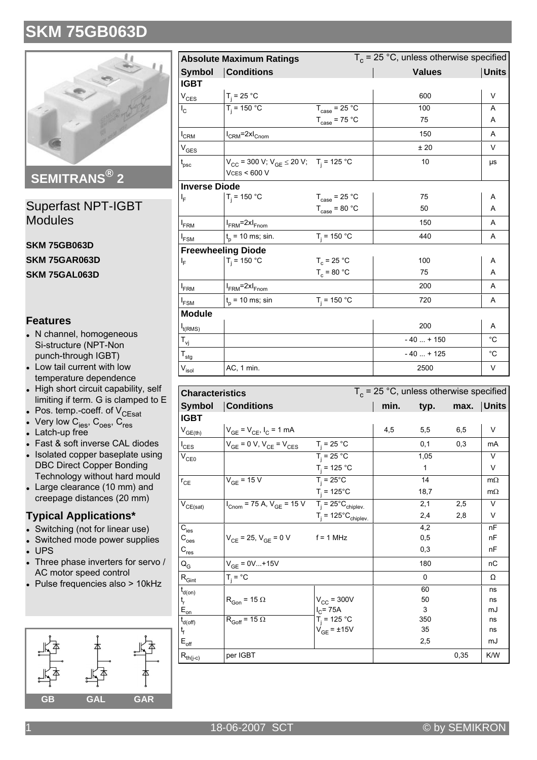

**SEMITRANS® 2**

Superfast NPT-IGBT Modules

**SKM 75GB063D SKM 75GAR063D SKM 75GAL063D**

### **Features**

- N channel, homogeneous Si-structure (NPT-Non punch-through IGBT)
- Low tail current with low temperature dependence
- High short circuit capability, self limiting if term. G is clamped to E
- $\bullet$  Pos. temp.-coeff. of  $V_{\text{CEsat}}$
- Very low  $\mathsf{C_{\text{ies}}}, \mathsf{C_{\text{oes}}}, \mathsf{C_{\text{res}}}$ <br>• Latch-up free
- 
- Fast & soft inverse CAL diodes
- . Isolated copper baseplate using DBC Direct Copper Bonding Technology without hard mould
- Large clearance  $(10 \text{ mm})$  and creepage distances (20 mm)

#### **Typical Applications\***

- Switching (not for linear use)
- Switched mode power supplies
- $\cdot$  UPS
- Three phase inverters for servo / AC motor speed control
- $\bullet$  Pulse frequencies also > 10kHz



|                            | <b>Absolute Maximum Ratings</b>                                                |                                   | $T_c$ = 25 °C, unless otherwise specified |                   |
|----------------------------|--------------------------------------------------------------------------------|-----------------------------------|-------------------------------------------|-------------------|
| <b>Symbol</b>              | <b>Conditions</b>                                                              |                                   | <b>Values</b>                             | <b>Units</b>      |
| <b>IGBT</b>                |                                                                                |                                   |                                           |                   |
| $V_{CES}$                  | $T_i = 25 °C$                                                                  |                                   | 600                                       | V                 |
| $I_{\rm C}$                | $T_i = 150 °C$                                                                 | $T_{\text{case}} = 25 \text{ °C}$ | 100                                       | A                 |
|                            |                                                                                | $T_{\text{case}} = 75 \text{ °C}$ | 75                                        | Α                 |
| $I_{CRM}$                  | $I_{CRM}$ =2x $I_{Cnom}$                                                       |                                   | 150                                       | A                 |
| $\rm V_{GES}$              |                                                                                |                                   | ±20                                       | $\vee$            |
| $t_{\rm psc}$              | $V_{CC}$ = 300 V; $V_{GE}$ $\leq$ 20 V; T <sub>i</sub> = 125 °C<br>VCS < 600 V |                                   | 10                                        | μs                |
| <b>Inverse Diode</b>       |                                                                                |                                   |                                           |                   |
| I <sub>F</sub>             | $T_i = 150 °C$                                                                 | $T_{\text{case}} = 25 \text{ °C}$ | 75                                        | A                 |
|                            |                                                                                | $T_{\text{case}} = 80 \text{ °C}$ | 50                                        | A                 |
| $I_{FRM}$                  | $I_{FRM}$ =2x $I_{Fnom}$                                                       |                                   | 150                                       | A                 |
| $I_{FSM}$                  | $t_{p}$ = 10 ms; sin.                                                          | $T_i = 150 °C$                    | 440                                       | A                 |
|                            | <b>Freewheeling Diode</b>                                                      |                                   |                                           |                   |
| ı,                         | $T_i = 150 °C$                                                                 | $T_c = 25 °C$                     | 100                                       | A                 |
|                            |                                                                                | $T_c = 80 °C$                     | 75                                        | A                 |
| $I_{FRM}$                  | $I_{FRM}$ =2x $I_{Fnom}$                                                       |                                   | 200                                       | A                 |
| $I_{FSM}$                  | $t_{p}$ = 10 ms; sin                                                           | $T_i = 150 °C$                    | 720                                       | A                 |
| <b>Module</b>              |                                                                                |                                   |                                           |                   |
| $I_{t(RMS)}$               |                                                                                |                                   | 200                                       | Α                 |
| $\mathsf{T}_{\mathsf{vj}}$ |                                                                                |                                   | $-40+150$                                 | $^{\circ}C$       |
| $T_{\text{stg}}$           |                                                                                |                                   | $-40+125$                                 | $^{\circ}{\rm C}$ |
| $V_{\sf isol}$             | AC, 1 min.                                                                     |                                   | 2500                                      | V                 |

| <b>Characteristics</b>                   |                                                                                                             |                                       |      |      | $T_c$ = 25 °C, unless otherwise specified |            |  |  |
|------------------------------------------|-------------------------------------------------------------------------------------------------------------|---------------------------------------|------|------|-------------------------------------------|------------|--|--|
| Symbol                                   | <b>Conditions</b>                                                                                           |                                       | min. | typ. |                                           | max. Units |  |  |
| <b>IGBT</b>                              |                                                                                                             |                                       |      |      |                                           |            |  |  |
| $V_{GE(th)}$                             | $V_{GE} = V_{CE}$ , $I_C = 1$ mA                                                                            |                                       | 4,5  | 5,5  | 6,5                                       | V          |  |  |
| $I_{\text{CES}}$                         | $V_{GE}$ = 0 V, $V_{CE}$ = $V_{CES}$                                                                        | $T_i = 25 °C$                         |      | 0,1  | 0,3                                       | mA         |  |  |
| $\rm V_{CE0}$                            |                                                                                                             | $T_i = 25 °C$                         |      | 1,05 |                                           | V          |  |  |
|                                          |                                                                                                             | $T_i = 125 °C$                        |      | 1    |                                           | V          |  |  |
| $r_{CE}$                                 | $V_{GE}$ = 15 V                                                                                             | $T_i = 25^{\circ}C$                   |      | 14   |                                           | $m\Omega$  |  |  |
|                                          |                                                                                                             | $T_i = 125^{\circ}C$                  |      | 18,7 |                                           | $m\Omega$  |  |  |
| $\mathsf{V}_{\mathsf{CE}(\mathsf{sat})}$ | $I_{\text{Cnom}} = 75 \text{ A}, V_{\text{GE}} = 15 \text{ V}$ $T_i = 25^{\circ} \text{C}_{\text{chiplev}}$ |                                       |      | 2,1  | 2,5                                       | V          |  |  |
|                                          |                                                                                                             | $T_i = 125^{\circ}C_{\text{chiplev}}$ |      | 2,4  | 2,8                                       | V          |  |  |
| $C_{\text{ies}}$                         |                                                                                                             |                                       |      | 4,2  |                                           | nF         |  |  |
| $C_{\rm {oes}}$                          | $V_{CE}$ = 25, $V_{GE}$ = 0 V                                                                               | $f = 1$ MHz                           |      | 0,5  |                                           | nF         |  |  |
| $C_{res}$                                |                                                                                                             |                                       |      | 0,3  |                                           | nF         |  |  |
| ${\sf Q_G}$                              | $V_{GE} = 0V+15V$                                                                                           |                                       |      | 180  |                                           | nC         |  |  |
| $\mathsf{R}_{\mathsf{Gint}}$             | $T_i = \degree C$                                                                                           |                                       |      | 0    |                                           | Ω          |  |  |
| $t_{d(on)}$                              |                                                                                                             |                                       |      | 60   |                                           | ns         |  |  |
| $t_r$<br>E <sub>on</sub>                 | $\rm R_{Gon}$ = 15 $\Omega$                                                                                 | $V_{\text{CC}}$ = 300V                |      | 50   |                                           | ns         |  |  |
|                                          |                                                                                                             | $I_{C}$ = 75A                         |      | 3    |                                           | mJ         |  |  |
| $t_{d(off)}$                             | $R_{Goff} = 15 \Omega$                                                                                      | $T_i = 125 °C$                        |      | 350  |                                           | ns         |  |  |
| t <sub>f</sub>                           |                                                                                                             | $V_{GE} = \pm 15V$                    |      | 35   |                                           | ns         |  |  |
| $\mathsf{E}_{\mathsf{off}}$              |                                                                                                             |                                       |      | 2,5  |                                           | mJ         |  |  |
| $R_{th(j-c)}$                            | per IGBT                                                                                                    |                                       |      |      | 0,35                                      | K/W        |  |  |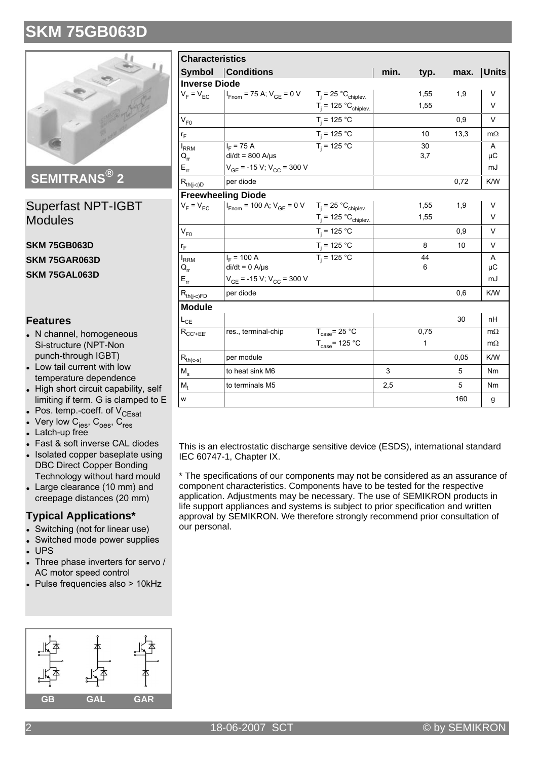

**SEMITRANS® 2**

Superfast NPT-IGBT Modules

**SKM 75GB063D SKM 75GAR063D SKM 75GAL063D**

### **Features**

- N channel, homogeneous Si-structure (NPT-Non punch-through IGBT)
- Low tail current with low temperature dependence
- High short circuit capability, self limiting if term. G is clamped to E
- $\bullet$  Pos. temp.-coeff. of  $V_{\text{CEsat}}$
- Very low  $\mathsf{C_{\text{ies}}}, \mathsf{C_{\text{oes}}}, \mathsf{C_{\text{res}}}$ <br>• Latch-up free
- 
- Fast & soft inverse CAL diodes
- . Isolated copper baseplate using DBC Direct Copper Bonding Technology without hard mould
- Large clearance  $(10 \text{ mm})$  and creepage distances (20 mm)

#### **Typical Applications\***

- Switching (not for linear use)
- Switched mode power supplies
- **UPS**
- Three phase inverters for servo / AC motor speed control
- $\bullet$  Pulse frequencies also > 10kHz

| Unaracteristics                                          |                                                                                              |                                   |      |      |      |                |  |
|----------------------------------------------------------|----------------------------------------------------------------------------------------------|-----------------------------------|------|------|------|----------------|--|
|                                                          | <b>Symbol Conditions</b>                                                                     |                                   | min. | typ. | max. | Units          |  |
| <b>Inverse Diode</b>                                     |                                                                                              |                                   |      |      |      |                |  |
|                                                          | $V_F = V_{EC}$   $I_{Fnom} = 75$ A; $V_{GE} = 0$ V $T_j = 25$ °C <sub>chiplev</sub> .        |                                   |      | 1,55 | 1,9  | V              |  |
|                                                          |                                                                                              | $T_i = 125 °C_{chiplev.}$         |      | 1,55 |      | $\vee$         |  |
| $V_{F0}$                                                 |                                                                                              | $T_i = 125 °C$                    |      |      | 0.9  | $\vee$         |  |
| r <sub>F</sub>                                           |                                                                                              | $T_j = 125 °C$<br>$T_j = 125 °C$  |      | 10   | 13,3 | $m\Omega$      |  |
| I <sub>RRM</sub>                                         | $I_{E}$ = 75 A                                                                               |                                   |      | 30   |      | A              |  |
| $\mathsf{Q}_{\mathsf{rr}}$                               | $di/dt = 800$ A/ $\mu$ s                                                                     |                                   |      | 3,7  |      | μC             |  |
| $E_{rr}$                                                 | $V_{GE}$ = -15 V; V <sub>CC</sub> = 300 V                                                    |                                   |      |      |      | mJ             |  |
| $R_{th(j-c)\underline{D}}$                               | per diode                                                                                    |                                   |      |      | 0,72 | K/W            |  |
|                                                          | <b>Freewheeling Diode</b>                                                                    |                                   |      |      |      |                |  |
| $V_F = V_{EC}$                                           | $I_{\text{Fnom}}$ = 100 A; $V_{\text{GE}}$ = 0 V $T_{\text{j}}$ = 25 °C <sub>chiplev</sub> . |                                   |      | 1,55 | 1,9  | V              |  |
|                                                          |                                                                                              | $T_j = 125 °C_{chiplev.}$         |      | 1,55 |      | V              |  |
| $V_{F0}$                                                 |                                                                                              | $T_i = 125 °C$                    |      |      | 0,9  | $\vee$         |  |
| $r_F$                                                    |                                                                                              | $T_j = 125 °C$                    |      | 8    | 10   | V              |  |
| $I_{RRM}$                                                | $I_{F}$ = 100 A                                                                              | $T_i = 125 °C$                    |      | 44   |      | A              |  |
| $\mathsf{Q}_{\mathsf{rr}}$                               | $di/dt = 0$ A/ $\mu$ s                                                                       |                                   |      | 6    |      | μC             |  |
| $E_{rr}$                                                 | $V_{GE}$ = -15 V; V <sub>CC</sub> = 300 V                                                    |                                   |      |      |      | mJ             |  |
| $R_{th(j-c)FD}$                                          | per diode                                                                                    |                                   |      |      | 0,6  | K/W            |  |
| <b>Module</b>                                            |                                                                                              |                                   |      |      |      |                |  |
| $L_{CE}$                                                 |                                                                                              |                                   |      |      | 30   | nH             |  |
| $R_{CC'+EE'}$                                            | res., terminal-chip                                                                          | $T_{\text{case}} = 25 \text{ °C}$ |      | 0,75 |      | $m\Omega$      |  |
|                                                          |                                                                                              | $T_{\text{case}}$ = 125 °C        |      | 1    |      | $m\Omega$      |  |
| $\mathsf{R}_{\mathsf{th}(\mathsf{c}\text{-}\mathsf{s})}$ | per module                                                                                   |                                   |      |      | 0,05 | K/W            |  |
| $M_{\rm s}$                                              | to heat sink M6                                                                              |                                   | 3    |      | 5    | N <sub>m</sub> |  |
| $M_{t}$                                                  | to terminals M5                                                                              |                                   | 2,5  |      | 5    | Nm             |  |
| W                                                        |                                                                                              |                                   |      |      | 160  | g              |  |

This is an electrostatic discharge sensitive device (ESDS), international standard IEC 60747-1, Chapter IX.

\* The specifications of our components may not be considered as an assurance of component characteristics. Components have to be tested for the respective application. Adjustments may be necessary. The use of SEMIKRON products in life support appliances and systems is subject to prior specification and written approval by SEMIKRON. We therefore strongly recommend prior consultation of our personal.

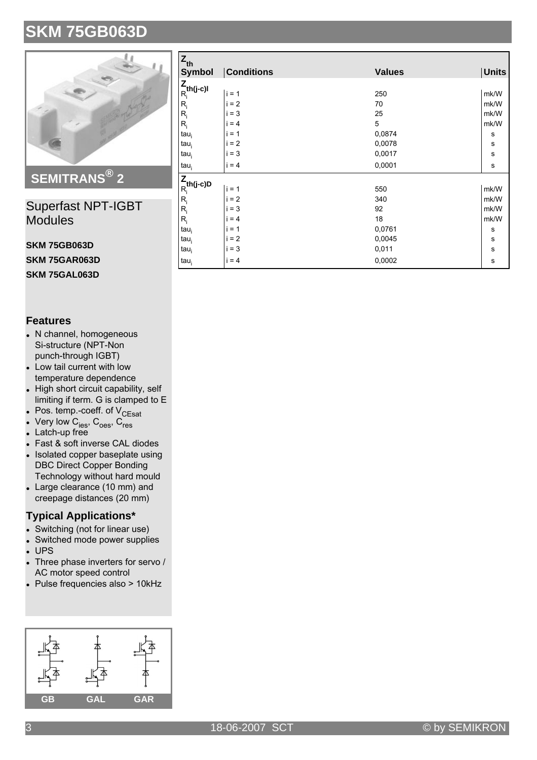

## **SEMITRANS® 2**

### Superfast NPT-IGBT Modules

### **SKM 75GB063D**

**SKM 75GAR063D**

**SKM 75GAL063D**

### **Features**

- N channel, homogeneous Si-structure (NPT-Non punch-through IGBT)
- Low tail current with low temperature dependence
- High short circuit capability, self limiting if term. G is clamped to E
- $\bullet$  Pos. temp.-coeff. of  $V_{\text{CEsat}}$
- Very low  $\mathsf{C_{\text{ies}}}, \mathsf{C_{\text{oes}}}, \mathsf{C_{\text{res}}}$ <br>• Latch-up free
- 
- Fast & soft inverse CAL diodes
- . Isolated copper baseplate using DBC Direct Copper Bonding Technology without hard mould
- Large clearance  $(10 \text{ mm})$  and creepage distances (20 mm)

### **Typical Applications\***

- Switching (not for linear use)
- Switched mode power supplies
- $\cdot$  UPS<br> $\cdot$  Three
- Three phase inverters for servo / AC motor speed control
- $\bullet$  Pulse frequencies also > 10kHz



| $\mathsf{z}_{\mathsf{th}}$                                                      |                   |               |              |  |  |  |  |
|---------------------------------------------------------------------------------|-------------------|---------------|--------------|--|--|--|--|
| <b>Symbol</b>                                                                   | <b>Conditions</b> | <b>Values</b> | <b>Units</b> |  |  |  |  |
| $\mathsf{Z}_{\mathsf{th}(\mathsf{j}\text{-}\mathsf{c})\mathsf{l}}^{\mathsf{Z}}$ |                   |               |              |  |  |  |  |
|                                                                                 | $i = 1$           | 250           | mk/W         |  |  |  |  |
| $\mathsf{R}_{\mathsf{i}}$                                                       | $= 2$             | 70            | mk/W         |  |  |  |  |
| $R_i$                                                                           | $= 3$             | 25            | mk/W         |  |  |  |  |
| $R_i$                                                                           | $= 4$<br>i        | 5             | mk/W         |  |  |  |  |
| $tau_i$                                                                         | $= 1$<br>Ť        | 0,0874        | s            |  |  |  |  |
| tau <sub>i</sub>                                                                | $= 2$<br>т        | 0,0078        | s            |  |  |  |  |
| $tau_i$                                                                         | $= 3$<br>I.       | 0,0017        | s            |  |  |  |  |
| tau <sub>i</sub>                                                                | $i = 4$           | 0,0001        | s            |  |  |  |  |
| $\frac{Z}{R_i}$ th(j-c)D                                                        |                   |               |              |  |  |  |  |
|                                                                                 | $i = 1$           | 550           | mk/W         |  |  |  |  |
| $R_i$                                                                           | $= 2$             | 340           | mk/W         |  |  |  |  |
| $R_i$                                                                           | $= 3$             | 92            | mk/W         |  |  |  |  |
| $R_i$                                                                           | i<br>$= 4$        | 18            | mk/W         |  |  |  |  |
| $tau_i$                                                                         | $= 1$<br>т        | 0,0761        | s            |  |  |  |  |
| $tau_i$                                                                         | $= 2$<br>i.       | 0,0045        | s            |  |  |  |  |
| tau <sub>i</sub>                                                                | $= 3$<br>i        | 0,011         | s            |  |  |  |  |
| $tau_i$                                                                         | $i = 4$           | 0,0002        | s            |  |  |  |  |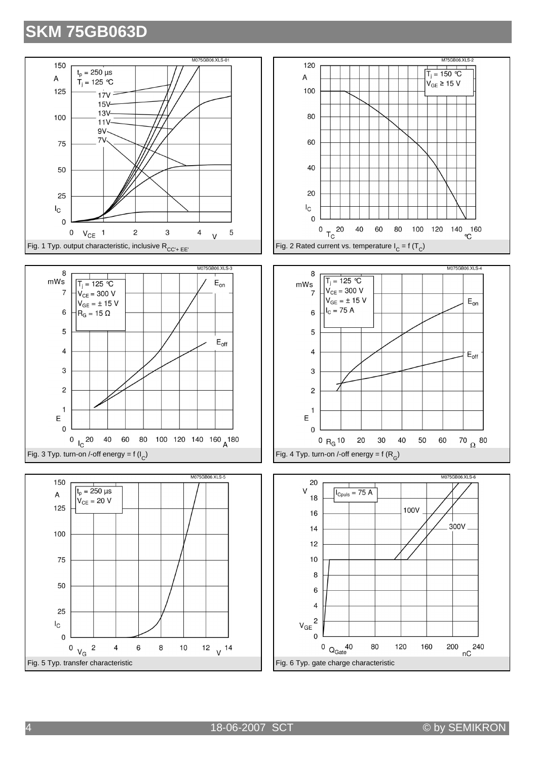









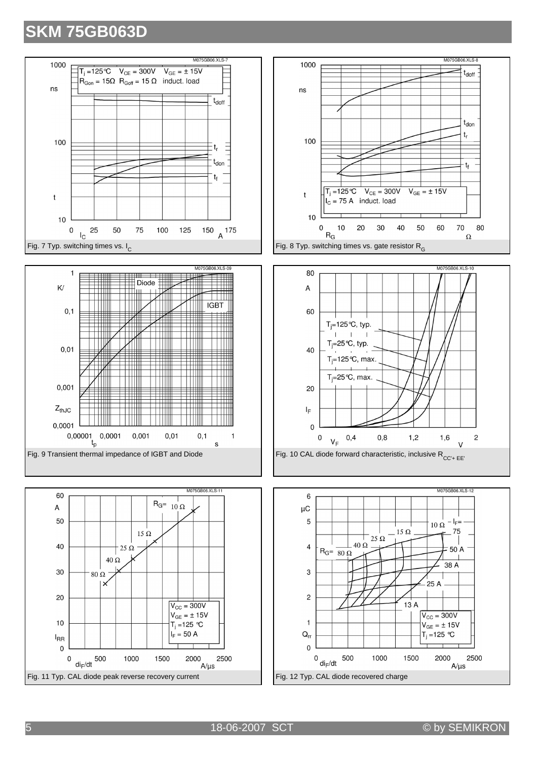